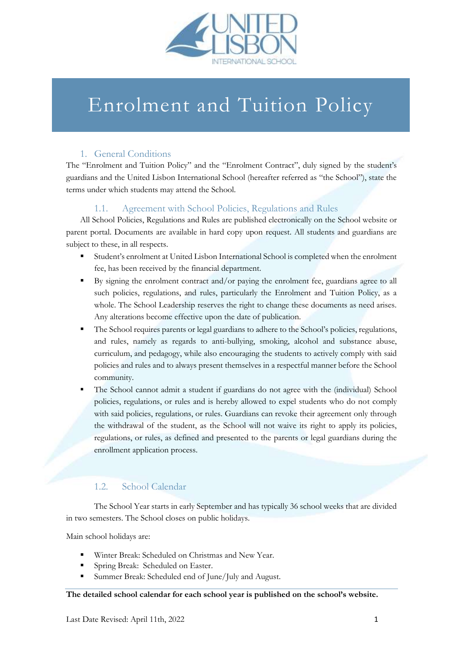

# Enrolment and Tuition Policy

# 1. General Conditions

The "Enrolment and Tuition Policy" and the "Enrolment Contract", duly signed by the student's guardians and the United Lisbon International School (hereafter referred as "the School"), state the terms under which students may attend the School.

# 1.1. Agreement with School Policies, Regulations and Rules

All School Policies, Regulations and Rules are published electronically on the School website or parent portal. Documents are available in hard copy upon request. All students and guardians are subject to these, in all respects.

- Student's enrolment at United Lisbon International School is completed when the enrolment fee, has been received by the financial department.
- By signing the enrolment contract and/or paying the enrolment fee, guardians agree to all such policies, regulations, and rules, particularly the Enrolment and Tuition Policy, as a whole. The School Leadership reserves the right to change these documents as need arises. Any alterations become effective upon the date of publication.
- The School requires parents or legal guardians to adhere to the School's policies, regulations, and rules, namely as regards to anti-bullying, smoking, alcohol and substance abuse, curriculum, and pedagogy, while also encouraging the students to actively comply with said policies and rules and to always present themselves in a respectful manner before the School community.
- The School cannot admit a student if guardians do not agree with the (individual) School policies, regulations, or rules and is hereby allowed to expel students who do not comply with said policies, regulations, or rules. Guardians can revoke their agreement only through the withdrawal of the student, as the School will not waive its right to apply its policies, regulations, or rules, as defined and presented to the parents or legal guardians during the enrollment application process.

# 1.2. School Calendar

The School Year starts in early September and has typically 36 school weeks that are divided in two semesters. The School closes on public holidays.

Main school holidays are:

- Winter Break: Scheduled on Christmas and New Year.
- Spring Break: Scheduled on Easter.
- Summer Break: Scheduled end of June/July and August.

## **The detailed school calendar for each school year is published on the school's website.**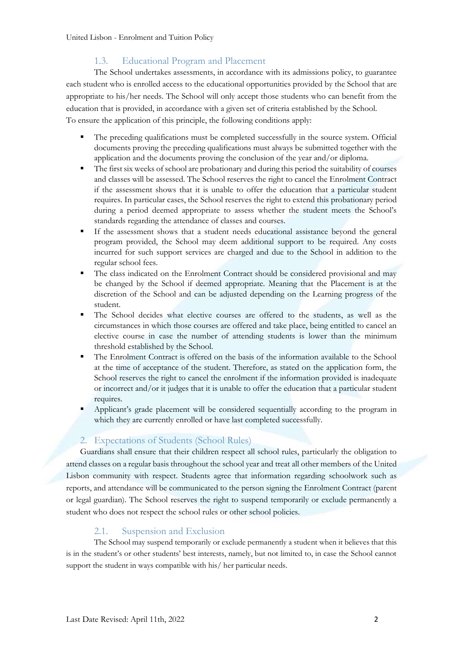# 1.3. Educational Program and Placement

The School undertakes assessments, in accordance with its admissions policy, to guarantee each student who is enrolled access to the educational opportunities provided by the School that are appropriate to his/her needs. The School will only accept those students who can benefit from the education that is provided, in accordance with a given set of criteria established by the School. To ensure the application of this principle, the following conditions apply:

- The preceding qualifications must be completed successfully in the source system. Official documents proving the preceding qualifications must always be submitted together with the application and the documents proving the conclusion of the year and/or diploma.
- The first six weeks of school are probationary and during this period the suitability of courses and classes will be assessed. The School reserves the right to cancel the Enrolment Contract if the assessment shows that it is unable to offer the education that a particular student requires. In particular cases, the School reserves the right to extend this probationary period during a period deemed appropriate to assess whether the student meets the School's standards regarding the attendance of classes and courses.
- If the assessment shows that a student needs educational assistance beyond the general program provided, the School may deem additional support to be required. Any costs incurred for such support services are charged and due to the School in addition to the regular school fees.
- The class indicated on the Enrolment Contract should be considered provisional and may be changed by the School if deemed appropriate. Meaning that the Placement is at the discretion of the School and can be adjusted depending on the Learning progress of the student.
- The School decides what elective courses are offered to the students, as well as the circumstances in which those courses are offered and take place, being entitled to cancel an elective course in case the number of attending students is lower than the minimum threshold established by the School.
- The Enrolment Contract is offered on the basis of the information available to the School at the time of acceptance of the student. Therefore, as stated on the application form, the School reserves the right to cancel the enrolment if the information provided is inadequate or incorrect and/or it judges that it is unable to offer the education that a particular student requires.
- Applicant's grade placement will be considered sequentially according to the program in which they are currently enrolled or have last completed successfully.

# 2. Expectations of Students (School Rules)

Guardians shall ensure that their children respect all school rules, particularly the obligation to attend classes on a regular basis throughout the school year and treat all other members of the United Lisbon community with respect. Students agree that information regarding schoolwork such as reports, and attendance will be communicated to the person signing the Enrolment Contract (parent or legal guardian). The School reserves the right to suspend temporarily or exclude permanently a student who does not respect the school rules or other school policies.

# 2.1. Suspension and Exclusion

The School may suspend temporarily or exclude permanently a student when it believes that this is in the student's or other students' best interests, namely, but not limited to, in case the School cannot support the student in ways compatible with his/ her particular needs.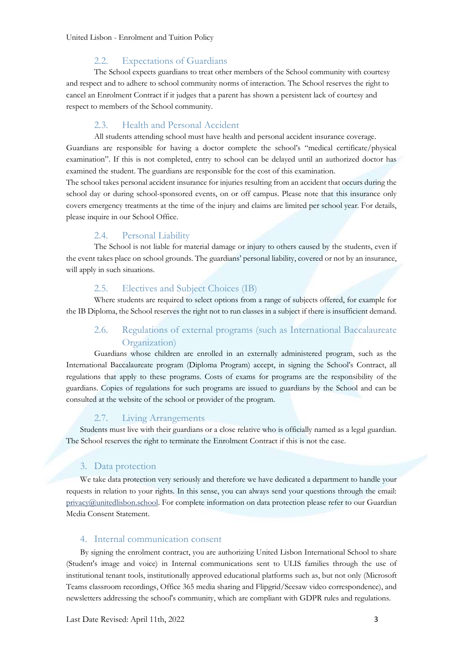#### 2.2. Expectations of Guardians

The School expects guardians to treat other members of the School community with courtesy and respect and to adhere to school community norms of interaction. The School reserves the right to cancel an Enrolment Contract if it judges that a parent has shown a persistent lack of courtesy and respect to members of the School community.

## 2.3. Health and Personal Accident

All students attending school must have health and personal accident insurance coverage. Guardians are responsible for having a doctor complete the school's "medical certificate/physical examination". If this is not completed, entry to school can be delayed until an authorized doctor has examined the student. The guardians are responsible for the cost of this examination.

The school takes personal accident insurance for injuries resulting from an accident that occurs during the school day or during school-sponsored events, on or off campus. Please note that this insurance only covers emergency treatments at the time of the injury and claims are limited per school year. For details, please inquire in our School Office.

#### 2.4. Personal Liability

The School is not liable for material damage or injury to others caused by the students, even if the event takes place on school grounds. The guardians' personal liability, covered or not by an insurance, will apply in such situations.

## 2.5. Electives and Subject Choices (IB)

Where students are required to select options from a range of subjects offered, for example for the IB Diploma, the School reserves the right not to run classes in a subject if there is insufficient demand.

# 2.6. Regulations of external programs (such as International Baccalaureate Organization)

Guardians whose children are enrolled in an externally administered program, such as the International Baccalaureate program (Diploma Program) accept, in signing the School's Contract, all regulations that apply to these programs. Costs of exams for programs are the responsibility of the guardians. Copies of regulations for such programs are issued to guardians by the School and can be consulted at the website of the school or provider of the program.

#### 2.7. Living Arrangements

Students must live with their guardians or a close relative who is officially named as a legal guardian. The School reserves the right to terminate the Enrolment Contract if this is not the case.

#### 3. Data protection

We take data protection very seriously and therefore we have dedicated a department to handle your requests in relation to your rights. In this sense, you can always send your questions through the email: [privacy@unitedlisbon.school.](mailto:privacy@unitedlisbon.school) For complete information on data protection please refer to our Guardian Media Consent Statement.

#### 4. Internal communication consent

By signing the enrolment contract, you are authorizing United Lisbon International School to share (Student's image and voice) in Internal communications sent to ULIS families through the use of institutional tenant tools, institutionally approved educational platforms such as, but not only (Microsoft Teams classroom recordings, Office 365 media sharing and Flipgrid/Seesaw video correspondence), and newsletters addressing the school's community, which are compliant with GDPR rules and regulations.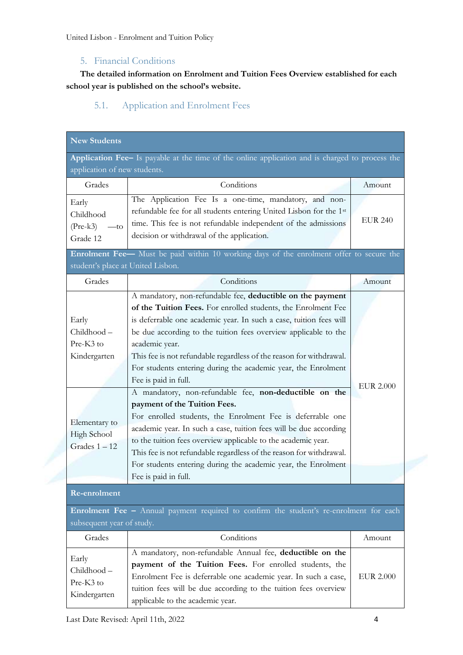# 5. Financial Conditions

**The detailed information on Enrolment and Tuition Fees Overview established for each school year is published on the school's website.**

# 5.1. Application and Enrolment Fees

| <b>New Students</b>                                    |                                                                                                                                                                                                                                                                                                                                                                                                                                                            |                  |  |
|--------------------------------------------------------|------------------------------------------------------------------------------------------------------------------------------------------------------------------------------------------------------------------------------------------------------------------------------------------------------------------------------------------------------------------------------------------------------------------------------------------------------------|------------------|--|
| application of new students.                           | Application Fee- Is payable at the time of the online application and is charged to process the                                                                                                                                                                                                                                                                                                                                                            |                  |  |
| Grades                                                 | Conditions                                                                                                                                                                                                                                                                                                                                                                                                                                                 | Amount           |  |
| Early<br>Childhood<br>$(Pre-k3)$<br>$-t$ o<br>Grade 12 | The Application Fee Is a one-time, mandatory, and non-<br>refundable fee for all students entering United Lisbon for the 1 <sup>st</sup><br>time. This fee is not refundable independent of the admissions<br>decision or withdrawal of the application.                                                                                                                                                                                                   | <b>EUR 240</b>   |  |
| student's place at United Lisbon.                      | Enrolment Fee- Must be paid within 10 working days of the enrolment offer to secure the                                                                                                                                                                                                                                                                                                                                                                    |                  |  |
| Grades                                                 | Conditions                                                                                                                                                                                                                                                                                                                                                                                                                                                 | Amount           |  |
| Early<br>Childhood-<br>Pre-K3 to<br>Kindergarten       | A mandatory, non-refundable fee, deductible on the payment<br>of the Tuition Fees. For enrolled students, the Enrolment Fee<br>is deferrable one academic year. In such a case, tuition fees will<br>be due according to the tuition fees overview applicable to the<br>academic year.<br>This fee is not refundable regardless of the reason for withdrawal.<br>For students entering during the academic year, the Enrolment<br>Fee is paid in full.     | <b>EUR 2.000</b> |  |
| Elementary to<br><b>High School</b><br>Grades $1 - 12$ | A mandatory, non-refundable fee, non-deductible on the<br>payment of the Tuition Fees.<br>For enrolled students, the Enrolment Fee is deferrable one<br>academic year. In such a case, tuition fees will be due according<br>to the tuition fees overview applicable to the academic year.<br>This fee is not refundable regardless of the reason for withdrawal.<br>For students entering during the academic year, the Enrolment<br>Fee is paid in full. |                  |  |
| <b>Re-enrolment</b>                                    |                                                                                                                                                                                                                                                                                                                                                                                                                                                            |                  |  |
| subsequent year of study.                              | Enrolment Fee - Annual payment required to confirm the student's re-enrolment for each                                                                                                                                                                                                                                                                                                                                                                     |                  |  |
| Grades                                                 | Conditions                                                                                                                                                                                                                                                                                                                                                                                                                                                 | Amount           |  |
| Early<br>Childhood-<br>Pre-K3 to<br>Kindergarten       | A mandatory, non-refundable Annual fee, deductible on the<br>payment of the Tuition Fees. For enrolled students, the<br>Enrolment Fee is deferrable one academic year. In such a case,<br>tuition fees will be due according to the tuition fees overview<br>applicable to the academic year.                                                                                                                                                              | <b>EUR 2.000</b> |  |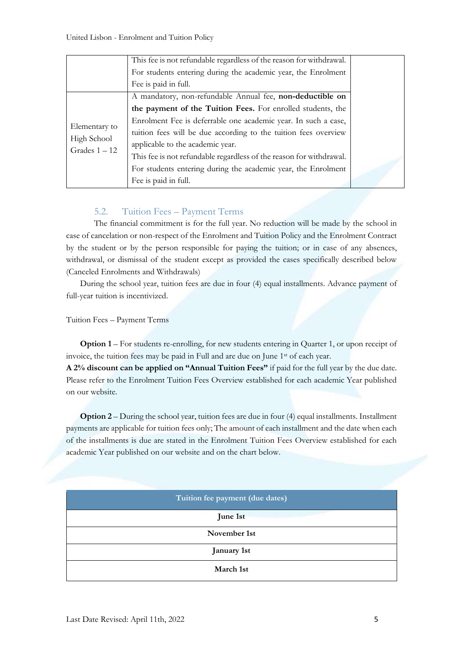|                                                 | This fee is not refundable regardless of the reason for withdrawal.<br>For students entering during the academic year, the Enrolment |
|-------------------------------------------------|--------------------------------------------------------------------------------------------------------------------------------------|
|                                                 | Fee is paid in full.                                                                                                                 |
| Elementary to<br>High School<br>Grades $1 - 12$ | A mandatory, non-refundable Annual fee, non-deductible on                                                                            |
|                                                 | the payment of the Tuition Fees. For enrolled students, the                                                                          |
|                                                 | Enrolment Fee is deferrable one academic year. In such a case,                                                                       |
|                                                 | tuition fees will be due according to the tuition fees overview                                                                      |
|                                                 | applicable to the academic year.                                                                                                     |
|                                                 | This fee is not refundable regardless of the reason for withdrawal.                                                                  |
|                                                 | For students entering during the academic year, the Enrolment                                                                        |
|                                                 | Fee is paid in full.                                                                                                                 |

# 5.2. Tuition Fees – Payment Terms

The financial commitment is for the full year. No reduction will be made by the school in case of cancelation or non-respect of the Enrolment and Tuition Policy and the Enrolment Contract by the student or by the person responsible for paying the tuition; or in case of any absences, withdrawal, or dismissal of the student except as provided the cases specifically described below (Canceled Enrolments and Withdrawals)

During the school year, tuition fees are due in four (4) equal installments. Advance payment of full-year tuition is incentivized.

Tuition Fees – Payment Terms

**Option 1** – For students re-enrolling, for new students entering in Quarter 1, or upon receipt of invoice, the tuition fees may be paid in Full and are due on June 1st of each year.

**A 2% discount can be applied on "Annual Tuition Fees"** if paid for the full year by the due date. Please refer to the Enrolment Tuition Fees Overview established for each academic Year published on our website.

**Option 2** – During the school year, tuition fees are due in four (4) equal installments. Installment payments are applicable for tuition fees only; The amount of each installment and the date when each of the installments is due are stated in the Enrolment Tuition Fees Overview established for each academic Year published on our website and on the chart below.

| Tuition fee payment (due dates) |
|---------------------------------|
| June 1st                        |
| November 1st                    |
| January 1st                     |
| March 1st                       |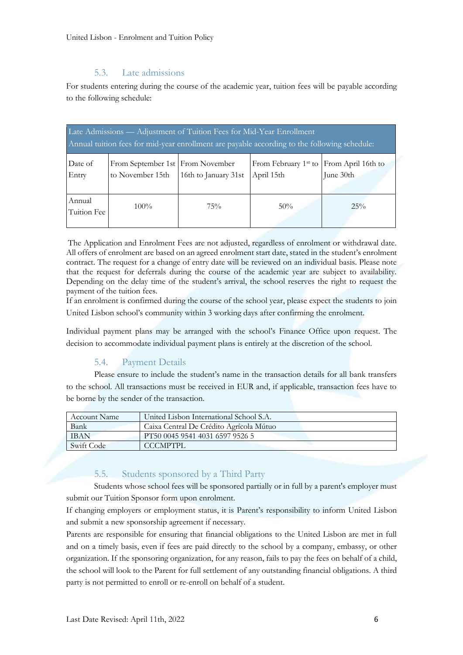# 5.3. Late admissions

For students entering during the course of the academic year, tuition fees will be payable according to the following schedule:

| Late Admissions — Adjustment of Tuition Fees for Mid-Year Enrollment<br>Annual tuition fees for mid-year enrollment are payable according to the following schedule: |                                                      |                      |                                                |                                 |  |
|----------------------------------------------------------------------------------------------------------------------------------------------------------------------|------------------------------------------------------|----------------------|------------------------------------------------|---------------------------------|--|
| Date of<br>Entry                                                                                                                                                     | From September 1st From November<br>to November 15th | 16th to January 31st | From February 1 <sup>st</sup> to<br>April 15th | From April 16th to<br>June 30th |  |
| Annual<br>Tuition Fee                                                                                                                                                | $100\%$                                              | 75%                  | 50%                                            | $25\%$                          |  |

The Application and Enrolment Fees are not adjusted, regardless of enrolment or withdrawal date. All offers of enrolment are based on an agreed enrolment start date, stated in the student's enrolment contract. The request for a change of entry date will be reviewed on an individual basis. Please note that the request for deferrals during the course of the academic year are subject to availability. Depending on the delay time of the student's arrival, the school reserves the right to request the payment of the tuition fees.

If an enrolment is confirmed during the course of the school year, please expect the students to join United Lisbon school's community within 3 working days after confirming the enrolment.

Individual payment plans may be arranged with the school's Finance Office upon request. The decision to accommodate individual payment plans is entirely at the discretion of the school.

# 5.4. Payment Details

Please ensure to include the student's name in the transaction details for all bank transfers to the school. All transactions must be received in EUR and, if applicable, transaction fees have to be borne by the sender of the transaction.

| <b>Account Name</b> | United Lisbon International School S.A. |
|---------------------|-----------------------------------------|
| Bank                | Caixa Central De Crédito Agrícola Mútuo |
| <b>IBAN</b>         | PT50 0045 9541 4031 6597 9526 5         |
| Swift Code          | CCCMPTPL.                               |

# 5.5. Students sponsored by a Third Party

Students whose school fees will be sponsored partially or in full by a parent's employer must submit our Tuition Sponsor form upon enrolment.

If changing employers or employment status, it is Parent's responsibility to inform United Lisbon and submit a new sponsorship agreement if necessary.

Parents are responsible for ensuring that financial obligations to the United Lisbon are met in full and on a timely basis, even if fees are paid directly to the school by a company, embassy, or other organization. If the sponsoring organization, for any reason, fails to pay the fees on behalf of a child, the school will look to the Parent for full settlement of any outstanding financial obligations. A third party is not permitted to enroll or re-enroll on behalf of a student.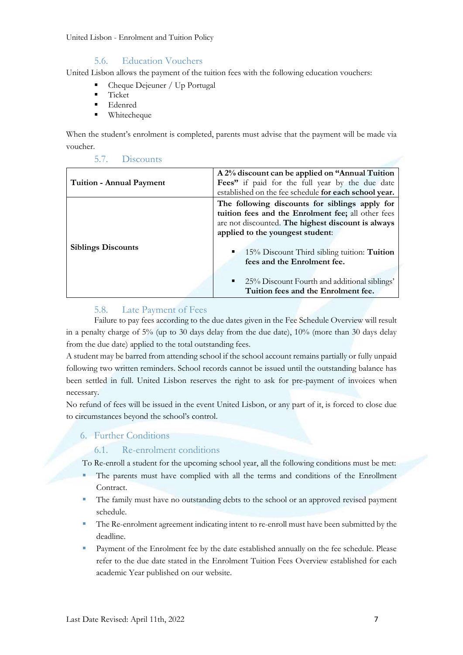# 5.6. Education Vouchers

United Lisbon allows the payment of the tuition fees with the following education vouchers:

- Cheque Dejeuner / Up Portugal
- **Ticket**
- **Edenred**
- Whitecheque

5.7. Discounts

When the student's enrolment is completed, parents must advise that the payment will be made via voucher.

| <b>Tuition - Annual Payment</b> | A 2% discount can be applied on "Annual Tuition"<br>Fees" if paid for the full year by the due date<br>established on the fee schedule for each school year.                                                                                                                                                                                                                       |  |  |  |
|---------------------------------|------------------------------------------------------------------------------------------------------------------------------------------------------------------------------------------------------------------------------------------------------------------------------------------------------------------------------------------------------------------------------------|--|--|--|
| <b>Siblings Discounts</b>       | The following discounts for siblings apply for<br>tuition fees and the Enrolment fee; all other fees<br>are not discounted. The highest discount is always<br>applied to the youngest student:<br>15% Discount Third sibling tuition: <b>Tuition</b><br>۰.<br>fees and the Enrolment fee.<br>• 25% Discount Fourth and additional siblings'<br>Tuition fees and the Enrolment fee. |  |  |  |

# 5.8. Late Payment of Fees

Failure to pay fees according to the due dates given in the Fee Schedule Overview will result in a penalty charge of 5% (up to 30 days delay from the due date), 10% (more than 30 days delay from the due date) applied to the total outstanding fees.

A student may be barred from attending school if the school account remains partially or fully unpaid following two written reminders. School records cannot be issued until the outstanding balance has been settled in full. United Lisbon reserves the right to ask for pre-payment of invoices when necessary.

No refund of fees will be issued in the event United Lisbon, or any part of it, is forced to close due to circumstances beyond the school's control.

6. Further Conditions

## 6.1. Re-enrolment conditions

To Re-enroll a student for the upcoming school year, all the following conditions must be met:

- The parents must have complied with all the terms and conditions of the Enrollment Contract.
- The family must have no outstanding debts to the school or an approved revised payment schedule.
- The Re-enrolment agreement indicating intent to re-enroll must have been submitted by the deadline.
- Payment of the Enrolment fee by the date established annually on the fee schedule. Please refer to the due date stated in the Enrolment Tuition Fees Overview established for each academic Year published on our website.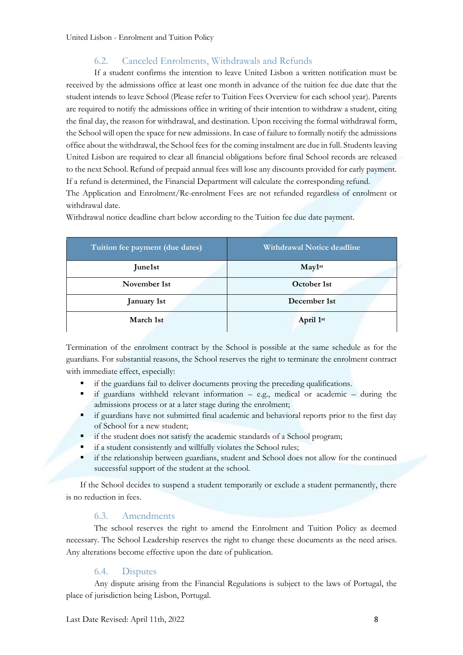# 6.2. Canceled Enrolments, Withdrawals and Refunds

If a student confirms the intention to leave United Lisbon a written notification must be received by the admissions office at least one month in advance of the tuition fee due date that the student intends to leave School (Please refer to Tuition Fees Overview for each school year). Parents are required to notify the admissions office in writing of their intention to withdraw a student, citing the final day, the reason for withdrawal, and destination. Upon receiving the formal withdrawal form, the School will open the space for new admissions. In case of failure to formally notify the admissions office about the withdrawal, the School fees for the coming instalment are due in full. Students leaving United Lisbon are required to clear all financial obligations before final School records are released to the next School. Refund of prepaid annual fees will lose any discounts provided for early payment. If a refund is determined, the Financial Department will calculate the corresponding refund. The Application and Enrolment/Re-enrolment Fees are not refunded regardless of enrolment or withdrawal date.

| Tuition fee payment (due dates) | <b>Withdrawal Notice deadline</b> |
|---------------------------------|-----------------------------------|
| June1st                         | $\text{May1st}$                   |
| November 1st                    | October 1st                       |
| January 1st                     | December 1st                      |
| March 1st                       | April 1st                         |

Withdrawal notice deadline chart below according to the Tuition fee due date payment.

Termination of the enrolment contract by the School is possible at the same schedule as for the guardians. For substantial reasons, the School reserves the right to terminate the enrolment contract with immediate effect, especially:

- if the guardians fail to deliver documents proving the preceding qualifications.
- if guardians withheld relevant information  $-$  e.g., medical or academic  $-$  during the admissions process or at a later stage during the enrolment;
- if guardians have not submitted final academic and behavioral reports prior to the first day of School for a new student;
- **If the student does not satisfy the academic standards of a School program;**
- if a student consistently and willfully violates the School rules;
- if the relationship between guardians, student and School does not allow for the continued successful support of the student at the school.

If the School decides to suspend a student temporarily or exclude a student permanently, there is no reduction in fees.

## 6.3. Amendments

The school reserves the right to amend the Enrolment and Tuition Policy as deemed necessary. The School Leadership reserves the right to change these documents as the need arises. Any alterations become effective upon the date of publication.

# 6.4. Disputes

Any dispute arising from the Financial Regulations is subject to the laws of Portugal, the place of jurisdiction being Lisbon, Portugal.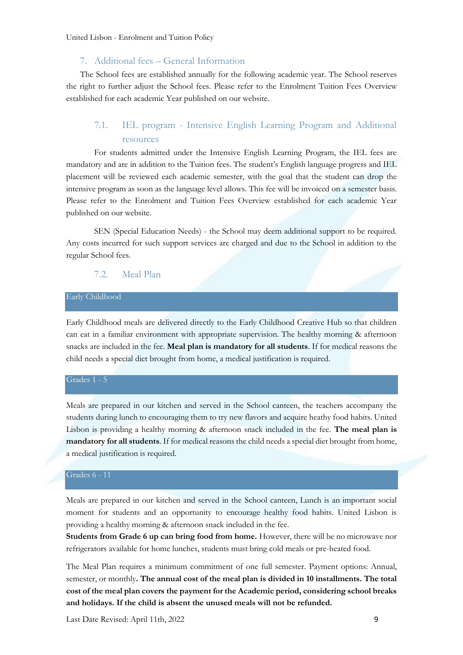## 7. Additional fees – General Information

The School fees are established annually for the following academic year. The School reserves the right to further adjust the School fees. Please refer to the Enrolment Tuition Fees Overview established for each academic Year published on our website.

# 7.1. IEL program - Intensive English Learning Program and Additional resources

For students admitted under the Intensive English Learning Program, the IEL fees are mandatory and are in addition to the Tuition fees. The student's English language progress and IEL placement will be reviewed each academic semester, with the goal that the student can drop the intensive program as soon as the language level allows. This fee will be invoiced on a semester basis. Please refer to the Enrolment and Tuition Fees Overview established for each academic Year published on our website.

SEN (Special Education Needs) - the School may deem additional support to be required. Any costs incurred for such support services are charged and due to the School in addition to the regular School fees.

#### 7.2. Meal Plan

## Early Childhood

Early Childhood meals are delivered directly to the Early Childhood Creative Hub so that children can eat in a familiar environment with appropriate supervision. The healthy morning & afternoon snacks are included in the fee. **Meal plan is mandatory for all students**. If for medical reasons the child needs a special diet brought from home, a medical justification is required.

#### Grades 1 - 5

Meals are prepared in our kitchen and served in the School canteen, the teachers accompany the students during lunch to encouraging them to try new flavors and acquire heathy food habits. United Lisbon is providing a healthy morning & afternoon snack included in the fee. **The meal plan is mandatory for all students**. If for medical reasons the child needs a special diet brought from home, a medical justification is required.

## Grades 6 - 11

Meals are prepared in our kitchen and served in the School canteen, Lunch is an important social moment for students and an opportunity to encourage healthy food habits. United Lisbon is providing a healthy morning & afternoon snack included in the fee.

**Students from Grade 6 up can bring food from home.** However, there will be no microwave nor refrigerators available for home lunches, students must bring cold meals or pre-heated food.

The Meal Plan requires a minimum commitment of one full semester. Payment options: Annual, semester, or monthly**. The annual cost of the meal plan is divided in 10 installments. The total cost of the meal plan covers the payment for the Academic period, considering school breaks and holidays. If the child is absent the unused meals will not be refunded.**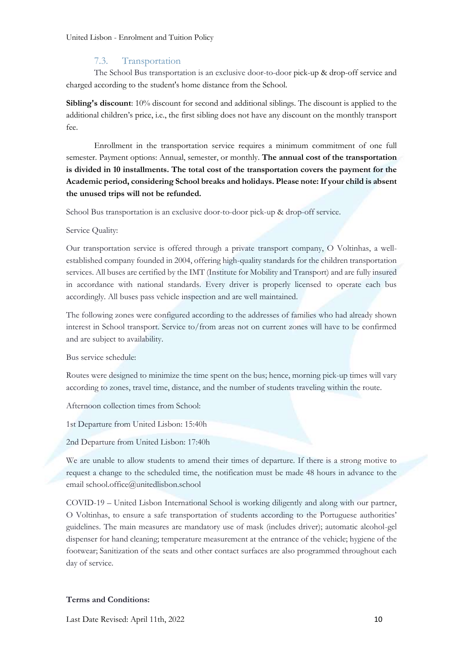## 7.3. Transportation

The School Bus transportation is an exclusive door-to-door pick-up & drop-off service and charged according to the student's home distance from the School.

**Sibling's discount**: 10% discount for second and additional siblings. The discount is applied to the additional children's price, i.e., the first sibling does not have any discount on the monthly transport fee.

Enrollment in the transportation service requires a minimum commitment of one full semester. Payment options: Annual, semester, or monthly. **The annual cost of the transportation is divided in 10 installments. The total cost of the transportation covers the payment for the Academic period, considering School breaks and holidays. Please note: If your child is absent the unused trips will not be refunded.**

School Bus transportation is an exclusive door-to-door pick-up & drop-off service.

#### Service Quality:

Our transportation service is offered through a private transport company, O Voltinhas, a wellestablished company founded in 2004, offering high-quality standards for the children transportation services. All buses are certified by the IMT (Institute for Mobility and Transport) and are fully insured in accordance with national standards. Every driver is properly licensed to operate each bus accordingly. All buses pass vehicle inspection and are well maintained.

The following zones were configured according to the addresses of families who had already shown interest in School transport. Service to/from areas not on current zones will have to be confirmed and are subject to availability.

Bus service schedule:

Routes were designed to minimize the time spent on the bus; hence, morning pick-up times will vary according to zones, travel time, distance, and the number of students traveling within the route.

Afternoon collection times from School:

1st Departure from United Lisbon: 15:40h

2nd Departure from United Lisbon: 17:40h

We are unable to allow students to amend their times of departure. If there is a strong motive to request a change to the scheduled time, the notification must be made 48 hours in advance to the email school.office@unitedlisbon.school

COVID-19 – United Lisbon International School is working diligently and along with our partner, O Voltinhas, to ensure a safe transportation of students according to the Portuguese authorities' guidelines. The main measures are mandatory use of mask (includes driver); automatic alcohol-gel dispenser for hand cleaning; temperature measurement at the entrance of the vehicle; hygiene of the footwear; Sanitization of the seats and other contact surfaces are also programmed throughout each day of service.

## **Terms and Conditions:**

Last Date Revised: April 11th, 2022 10